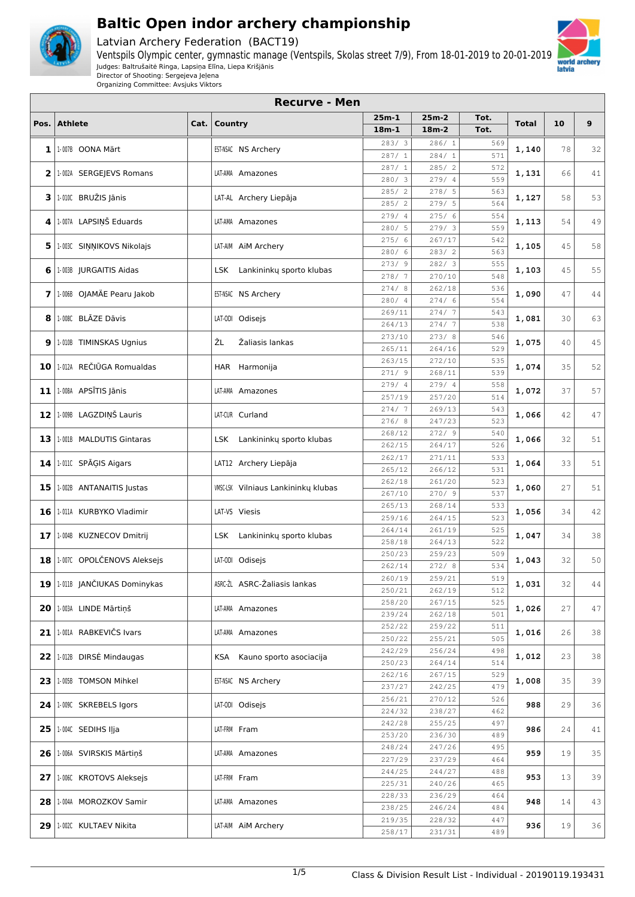

Latvian Archery Federation (BACT19)



**Recurve - Men**



| Pos. | <b>Athlete</b>                    | Cat. | Country                                    | $25m-1$          | $25m-2$          | Tot.       | Total | 10 | 9  |
|------|-----------------------------------|------|--------------------------------------------|------------------|------------------|------------|-------|----|----|
|      |                                   |      |                                            | $18m-1$          | $18m-2$          | Tot.       |       |    |    |
| 1    | 1-007B OONA Märt                  |      | EST-NSAC NS Archery                        | 283/3            | 286/1            | 569        | 1,140 | 78 | 32 |
|      |                                   |      |                                            | 287/1            | 284/1            | 571        |       |    |    |
|      | 2   1-002A SERGEJEVS Romans       |      | LAT-AMA Amazones                           | 287/1            | 285/2            | 572        | 1,131 | 66 | 41 |
|      |                                   |      |                                            | 280/3            | 279/4            | 559        |       |    |    |
|      | $3$   1.010C BRUŽIS Jānis         |      | LAT-AL Archery Liepāja                     | 285/2            | 278/5            | 563        | 1,127 | 58 | 53 |
|      |                                   |      |                                            | 285/2            | 279/5            | 564        |       |    |    |
| 4    | 1-007A LAPSIŅŠ Eduards            |      | LAT-AMA Amazones                           | 279/4<br>280/ 5  | 275/6<br>279/3   | 554<br>559 | 1,113 | 54 | 49 |
|      |                                   |      |                                            | 275/6            | 267/17           | 542        |       |    |    |
| 5    | 1.003C SINNIKOVS Nikolajs         |      | LAT-AIM AIM Archery                        | 280/6            | 283/2            | 563        | 1,105 | 45 | 58 |
|      | 6   1-003B JURGAITIS Aidas        |      | LSK Lankininkų sporto klubas               | 273/9            | 282/3            | 555        | 1,103 | 45 | 55 |
|      |                                   |      |                                            | 278/7            | 270/10           | 548        |       |    |    |
|      | 7   1.006B OJAMÄE Pearu Jakob     |      | EST-NSAC NS Archery                        | 274/8            | 262/18           | 536        | 1,090 | 47 | 44 |
|      |                                   |      |                                            | 280/4            | 274/6            | 554        |       |    |    |
| 8    | 1-008C BLĀZE Dāvis                |      | LAT-ODI Odisejs                            | 269/11           | 274/7            | 543        | 1,081 | 30 | 63 |
|      |                                   |      |                                            | 264/13<br>273/10 | 274/7<br>273/8   | 538<br>546 |       |    |    |
| 9    | 1-010B TIMINSKAS Ugnius           |      | ŽL<br>Žaliasis lankas                      | 265/11           | 264/16           | 529        | 1,075 | 40 | 45 |
|      |                                   |      |                                            | 263/15           | 272/10           | 535        |       |    |    |
|      | 10 1.012A REČIŪGA Romualdas       |      | HAR Harmonija                              | 271/9            | 268/11           | 539        | 1,074 | 35 | 52 |
|      |                                   |      |                                            | 279/ 4           | 279/ 4           | 558        |       |    |    |
|      | $11$   1-008A APSĪTIS Jānis       |      | LAT-AMA Amazones                           | 257/19           | 257/20           | 514        | 1,072 | 37 | 57 |
|      |                                   |      |                                            | 274/7            | 269/13           | 543        |       |    |    |
|      | 12   1.009B LAGZDIŅŠ Lauris       |      | LAT-CUR Curland                            | 276/8            | 247/23           | 523        | 1,066 | 42 | 47 |
| 13   | 1-001B MALDUTIS Gintaras          |      | LSK Lankininkų sporto klubas               | 268/12           | 272/9            | 540        | 1,066 | 32 | 51 |
|      |                                   |      |                                            | 262/15           | 264/17           | 526        |       |    |    |
|      | 14   1-011C SPĀĢIS Aigars         |      | LAT12 Archery Liepāja                      | 262/17           | 271/11           | 533        | 1,064 | 33 | 51 |
|      |                                   |      |                                            | 265/12           | 266/12           | 531        |       |    |    |
|      | 15   1-002B ANTANAITIS Justas     |      | <b>WISC-LSK</b> Vilniaus Lankininkų klubas | 262/18           | 261/20           | 523        | 1,060 | 27 | 51 |
|      |                                   |      |                                            | 267/10           | 270/9            | 537        |       |    |    |
|      | 16   1-011A KURBYKO Vladimir      |      | LAT-VS Viesis                              | 265/13<br>259/16 | 268/14<br>264/15 | 533<br>523 | 1,056 | 34 | 42 |
|      |                                   |      |                                            | 264/14           | 261/19           | 525        |       |    |    |
|      | 17   1-004B KUZNECOV Dmitrij      |      | LSK Lankininkų sporto klubas               | 258/18           | 264/13           | 522        | 1,047 | 34 | 38 |
|      |                                   |      |                                            | 250/23           | 259/23           | 509        |       |    |    |
|      | 18   1-007C OPOLČENOVS Aleksejs   |      | LAT-ODI Odisejs                            | 262/14           | 272/8            | 534        | 1,043 | 32 | 50 |
|      |                                   |      |                                            | 260/19           | 259/21           | 519        |       |    |    |
|      | 19   1-011B   JANČIUKAS Dominykas |      | ASRC-ZL ASRC-Zaliasis lankas               | 250/21           | 262/19           | 512        | 1,031 | 32 | 44 |
|      | 20   1-003A LINDE Mārtiņš         |      | LAT-AMA Amazones                           | 258/20           | 267/15           | 525        | 1,026 | 27 | 47 |
|      |                                   |      |                                            | 239/24           | 262/18           | 501        |       |    |    |
|      | 21   1-001A RABKEVIČS Ivars       |      | LAT-AMA Amazones                           | 252/22           | 259/22           | 511        | 1,016 | 26 | 38 |
|      |                                   |      |                                            | 250/22           | 255/21           | 505        |       |    |    |
|      | 22 1.012B DIRSE Mindaugas         |      | KSA Kauno sporto asociacija                | 242/29           | 256/24           | 498        | 1,012 | 23 | 38 |
|      |                                   |      |                                            | 250/23<br>262/16 | 264/14<br>267/15 | 514<br>529 |       |    |    |
|      | 23   1-005B TOMSON Mihkel         |      | EST-NSAC NS Archery                        | 237/27           | 242/25           | 479        | 1,008 | 35 | 39 |
|      |                                   |      |                                            | 256/21           | 270/12           | 526        |       |    |    |
|      | 24 1.009C SKREBELS Igors          |      | LAT-ODI Odisejs                            | 224/32           | 238/27           | 462        | 988   | 29 | 36 |
|      |                                   |      |                                            | 242/28           | 255/25           | 497        |       |    |    |
|      | 25 1.004C SEDIHS IJja             |      | LAT-FRM Fram                               | 253/20           | 236/30           | 489        | 986   | 24 | 41 |
|      |                                   |      | LAT-AMA Amazones                           | 248/24           | 247/26           | 495        | 959   | 19 | 35 |
|      | 26   1-006A SVIRSKIS Mārtiņš      |      |                                            | 227/29           | 237/29           | 464        |       |    |    |
|      | 27   1-006C KROTOVS Aleksejs      |      | LAT-FRM Fram                               | 244/25           | 244/27           | 488        | 953   | 13 | 39 |
|      |                                   |      |                                            | 225/31           | 240/26           | 465        |       |    |    |
|      | 28   1-004A MOROZKOV Samir        |      | LAT-AMA Amazones                           | 228/33           | 236/29           | 464        | 948   | 14 | 43 |
|      |                                   |      |                                            | 238/25           | 246/24           | 484        |       |    |    |
|      | 29   1-002C KULTAEV Nikita        |      | LAT-AIM AIM Archery                        | 219/35<br>258/17 | 228/32<br>231/31 | 447<br>489 | 936   | 19 | 36 |
|      |                                   |      |                                            |                  |                  |            |       |    |    |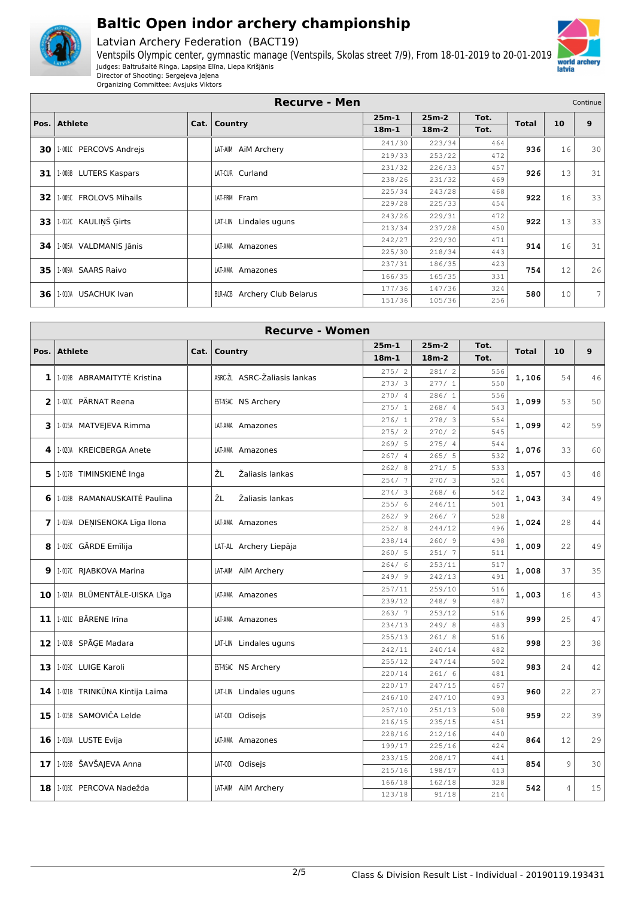

Latvian Archery Federation (BACT19)



Organizing Committee: Avsjuks Viktors

|    |                                    | <b>Recurve - Men</b>            |         |         |      |              |    | Continue |
|----|------------------------------------|---------------------------------|---------|---------|------|--------------|----|----------|
|    |                                    |                                 | $25m-1$ | $25m-2$ | Tot. |              |    |          |
|    | Pos. Athlete                       | Cat.   Country                  | $18m-1$ | $18m-2$ | Tot. | <b>Total</b> | 10 | 9        |
|    | <b>30   1-001C PERCOVS Andreis</b> | LAT-AIM AIM Archery             | 241/30  | 223/34  | 464  | 936          | 16 | 30       |
|    |                                    |                                 | 219/33  | 253/22  | 472  |              |    |          |
| 31 | 1-008B LUTERS Kaspars              | LAT-CUR Curland                 | 231/32  | 226/33  | 457  | 926          | 13 | 31       |
|    |                                    |                                 | 238/26  | 231/32  | 469  |              |    |          |
|    | 32 1.005C FROLOVS Mihails          |                                 | 225/34  | 243/28  | 468  | 922          | 16 | 33       |
|    |                                    | LAT-FRM Fram                    | 229/28  | 225/33  | 454  |              |    |          |
| 33 | 1-012C KAULINŠ Girts               | LAT-LIN Lindales uguns          | 243/26  | 229/31  | 472  | 922          | 13 | 33       |
|    |                                    |                                 | 213/34  | 237/28  | 450  |              |    |          |
|    | 34   1-005A VALDMANIS Jānis        | LAT-AMA<br>Amazones             | 242/27  | 229/30  | 471  | 914          | 16 | 31       |
|    |                                    |                                 | 225/30  | 218/34  | 443  |              |    |          |
| 35 | 1-009A<br><b>SAARS Raivo</b>       | LAT-AMA<br>Amazones             | 237/31  | 186/35  | 423  | 754          | 12 | 26       |
|    |                                    |                                 | 166/35  | 165/35  | 331  |              |    |          |
| 36 | <b>USACHUK Ivan</b><br>1-010A      | Archery Club Belarus<br>BLR-ACB | 177/36  | 147/36  | 324  | 580          | 10 | 7        |
|    |                                    |                                 | 151/36  | 105/36  | 256  |              |    |          |

|      | <b>Recurve - Women</b>        |      |         |                              |                 |                |            |              |                |    |  |  |  |
|------|-------------------------------|------|---------|------------------------------|-----------------|----------------|------------|--------------|----------------|----|--|--|--|
| Pos. | <b>Athlete</b>                | Cat. | Country |                              | $25m-1$         | $25m-2$        | Tot.       | <b>Total</b> | 10             | 9  |  |  |  |
|      |                               |      |         |                              | $18m-1$         | $18m-2$        | Tot.       |              |                |    |  |  |  |
| 1    | 1-019B ABRAMAITYTĖ Kristina   |      |         | ASRC-ŽL ASRC-Žaliasis lankas | 275/2           | 281/2          | 556        | 1,106        | 54             | 46 |  |  |  |
|      |                               |      |         |                              | 273/3           | 277/1          | 550        |              |                |    |  |  |  |
| 2    | 1-020C PÄRNAT Reena           |      |         | EST-NSAC NS Archery          | 270/ 4          | 286/1          | 556        | 1,099        | 53             | 50 |  |  |  |
|      |                               |      |         |                              | 275/1           | 268/4          | 543        |              |                |    |  |  |  |
| 3    | 1-015A MATVEJEVA Rimma        |      |         | LAT-AMA Amazones             | 276/1           | 278/3          | 554        | 1,099        | 42             | 59 |  |  |  |
|      |                               |      |         |                              | 275/2           | 270/2          | 545        |              |                |    |  |  |  |
| 4    | 1-020A KREICBERGA Anete       |      |         | LAT-AMA Amazones             | 269/5           | 275/4          | 544        | 1,076        | 33             | 60 |  |  |  |
|      |                               |      |         |                              | 267/4           | 265/5          | 532        |              |                |    |  |  |  |
| 5.   | 1-017B TIMINSKIENĖ Inga       |      | ŽL      | Žaliasis lankas              | 262/8           | 271/5          | 533        | 1,057        | 43             | 48 |  |  |  |
|      |                               |      |         |                              | 254/7           | 270/3          | 524        |              |                |    |  |  |  |
| 6    | 1-018B RAMANAUSKAITĖ Paulina  |      | ŽL      | Žaliasis lankas              | 274/3           | 268/<br>6      | 542        | 1,043        | 34             | 49 |  |  |  |
|      |                               |      |         |                              | 255/6           | 246/11         | 501        |              |                |    |  |  |  |
| 7    | 1-019A DENISENOKA Līga Ilona  |      |         | LAT-AMA Amazones             | 262/9           | 266/7          | 528        | 1,024        | 28             | 44 |  |  |  |
|      |                               |      |         |                              | 252/8           | 244/12         | 496        |              |                |    |  |  |  |
| 8    | 1.016C GĀRDE Emīlija          |      |         | LAT-AL Archery Liepāja       | 238/14<br>260/5 | 260/9<br>251/7 | 498<br>511 | 1,009        | 22             | 49 |  |  |  |
|      |                               |      |         |                              | 264/6           | 253/11         | 517        |              |                |    |  |  |  |
| 9    | 1-017C RJABKOVA Marina        |      |         | LAT-AIM AIM Archery          | 249/9           | 242/13         | 491        | 1,008        | 37             | 35 |  |  |  |
|      |                               |      |         |                              | 257/11          | 259/10         | 516        |              |                |    |  |  |  |
| 10   | 1.021A BLŪMENTĀLE-UISKA Līga  |      |         | LAT-AMA Amazones             | 239/12          | 248/9          | 487        | 1,003        | 16             | 43 |  |  |  |
|      |                               |      |         |                              | 263/7           | 253/12         | 516        |              |                |    |  |  |  |
| 11   | 1-0210 BĀRENE Irīna           |      |         | LAT-AMA Amazones             | 234/13          | 249/8          | 483        | 999          | 25             | 47 |  |  |  |
|      |                               |      |         |                              | 255/13          | 261/8          | 516        |              |                |    |  |  |  |
|      | 12 1.020B SPĀGE Madara        |      |         | LAT-LIN Lindales uguns       | 242/11          | 240/14         | 482        | 998          | 23             | 38 |  |  |  |
|      |                               |      |         |                              | 255/12          | 247/14         | 502        |              |                |    |  |  |  |
| 13   | 1-019C LUIGE Karoli           |      |         | EST-NSAC NS Archery          | 220/14          | 261/6          | 481        | 983          | 24             | 42 |  |  |  |
|      |                               |      |         |                              | 220/17          | 247/15         | 467        |              |                |    |  |  |  |
| 14   | 1-021B TRINKŪNA Kintija Laima |      |         | LAT-LIN Lindales uguns       | 246/10          | 247/10         | 493        | 960          | 22             | 27 |  |  |  |
| 15   | 1-015B SAMOVIČA Lelde         |      |         | LAT-ODI Odisejs              | 257/10          | 251/13         | 508        | 959          | 22             | 39 |  |  |  |
|      |                               |      |         |                              | 216/15          | 235/15         | 451        |              |                |    |  |  |  |
| 16   | 1-018A LUSTE Evija            |      |         | LAT-AMA Amazones             | 228/16          | 212/16         | 440        | 864          | 12             | 29 |  |  |  |
|      |                               |      |         |                              | 199/17          | 225/16         | 424        |              |                |    |  |  |  |
| 17   | 1-016B ŠAVŠAJEVA Anna         |      |         | LAT-ODI Odisejs              | 233/15          | 208/17         | 441        | 854          | 9              | 30 |  |  |  |
|      |                               |      |         |                              | 215/16          | 198/17         | 413        |              |                |    |  |  |  |
| 18   | 1.018C PERCOVA Nadežda        |      |         | LAT-AIM AIM Archery          | 166/18          | 162/18         | 328        | 542          | $\overline{4}$ | 15 |  |  |  |
|      |                               |      |         |                              | 123/18          | 91/18          | 214        |              |                |    |  |  |  |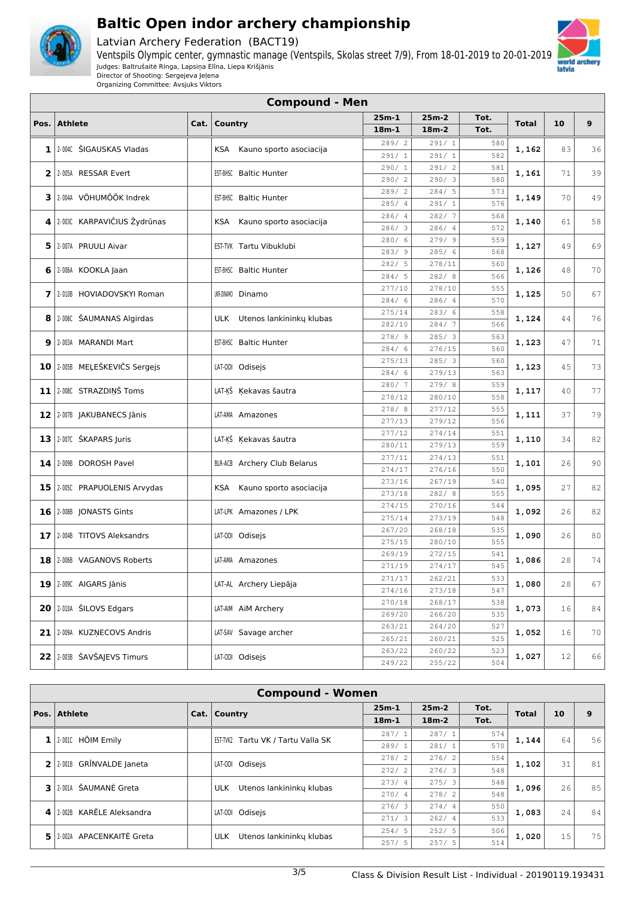

Latvian Archery Federation (BACT19)



Organizing Committee: Avsjuks Viktors

|      | <b>Compound - Men</b>           |      |                                     |                  |                  |            |              |    |                |  |  |
|------|---------------------------------|------|-------------------------------------|------------------|------------------|------------|--------------|----|----------------|--|--|
| Pos. | <b>Athlete</b>                  | Cat. | Country                             | 25m-1            | $25m-2$          | Tot.       | <b>Total</b> | 10 | 9              |  |  |
|      |                                 |      |                                     | $18m-1$          | $18m-2$          | Tot.       |              |    |                |  |  |
| 1    | 2-004C ŠIGAUSKAS Vladas         |      | KSA Kauno sporto asociacija         | 289/2            | 291/1            | 580        | 1,162        | 83 | 36             |  |  |
|      |                                 |      |                                     | 291/1            | 291/1            | 582        |              |    |                |  |  |
| 2    | 2-005A RESSAR Evert             |      | EST-BHSC Baltic Hunter              | 290/1            | 291/2            | 581        | 1,161        | 71 | 3 S            |  |  |
|      |                                 |      |                                     | 290/2<br>289/2   | 290/3<br>284/5   | 580<br>573 |              |    |                |  |  |
| з    | 2-004A VÕHUMÕÕK Indrek          |      | EST-BHSC Baltic Hunter              | 285/4            | 291/1            | 576        | 1,149        | 70 | 4 <sup>c</sup> |  |  |
|      |                                 |      |                                     | 286/ 4           | 282/7            | 568        |              |    |                |  |  |
| 4    | 2-003C KARPAVIČIUS Žydrūnas     |      | KSA<br>Kauno sporto asociacija      | 286/3            | 286/4            | 572        | 1,140        | 61 | 58             |  |  |
|      | 5 2-007A PRUULI Aivar           |      | EST-TVK Tartu Vibuklubi             | 280/6            | 279/9            | 559        | 1,127        | 49 | 6 S            |  |  |
|      |                                 |      |                                     | 283/9            | 285/6            | 568        |              |    |                |  |  |
|      | 6   2-006A KOOKLA Jaan          |      | EST-BHSC Baltic Hunter              | 282/5            | 278/11           | 560        | 1,126        | 48 | 7 C            |  |  |
|      |                                 |      |                                     | 284/5            | 282/8            | 566        |              |    |                |  |  |
| 7    | 2-010B HOVIADOVSKYI Roman       |      | UKR-DINAMO Dinamo                   | 277/10<br>284/6  | 278/10<br>286/4  | 555<br>570 | 1,125        | 50 | 67             |  |  |
|      |                                 |      |                                     | 275/14           | 283/6            | 558        |              |    |                |  |  |
| 8    | 2-006C ŠAUMANAS Algirdas        |      | ULK Utenos lankininky klubas        | 282/10           | 284/7            | 566        | 1,124        | 44 | 76             |  |  |
|      |                                 |      |                                     | 278/ 9           | 285/3            | 563        |              |    |                |  |  |
|      | 9 2-003A MARANDI Mart           |      | EST-BHSC Baltic Hunter              | 284/6            | 276/15           | 560        | 1,123        | 47 | 71             |  |  |
|      | 10 2.005B MEĻEŠKEVIČS Sergejs   |      | LAT-ODI Odisejs                     | 275/13           | 285/3            | 560        |              | 45 | 73             |  |  |
|      |                                 |      |                                     | 284/6            | 279/13           | 563        | 1,123        |    |                |  |  |
|      | 11 2.008C STRAZDIŅŠ Toms        |      | LAT-ĶŠ Ķekavas šautra               | 280/7            | 279/8            | 559        | 1,117        | 40 | 77             |  |  |
|      |                                 |      |                                     | 278/12           | 280/10           | 558        |              |    |                |  |  |
|      | 12 2-007B JAKUBANECS Jānis      |      | LAT-AMA Amazones                    | 278/8            | 277/12<br>279/12 | 555<br>556 | 1,111        | 37 | 7 S            |  |  |
|      |                                 |      |                                     | 277/13<br>277/12 | 274/14           | 551        |              |    |                |  |  |
| 13   | 2-007C ŠKAPARS Juris            |      | LAT-ĶŠ Ķekavas šautra               | 280/11           | 279/13           | 559        | 1,110        | 34 | 82             |  |  |
|      |                                 |      |                                     | 277/11           | 274/13           | 551        |              |    |                |  |  |
|      | 14 2-009B DOROSH Pavel          |      | <b>BLR-ACB</b> Archery Club Belarus | 274/17           | 276/16           | 550        | 1,101        | 26 | 90             |  |  |
|      | 15   2-005C PRAPUOLENIS Arvydas |      | KSA Kauno sporto asociacija         | 273/16           | 267/19           | 540        | 1,095        | 27 | 82             |  |  |
|      |                                 |      |                                     | 273/18           | 282/8            | 555        |              |    |                |  |  |
|      | 16 2-008B JONASTS Gints         |      | LAT-LPK Amazones / LPK              | 274/15           | 270/16           | 544        | 1,092        | 26 | 82             |  |  |
|      |                                 |      |                                     | 275/14           | 273/19           | 548        |              |    |                |  |  |
| 17   | 2-004B TITOVS Aleksandrs        |      | LAT-ODI Odisejs                     | 267/20<br>275/15 | 268/18<br>280/10 | 535<br>555 | 1,090        | 26 | 8C             |  |  |
|      |                                 |      |                                     | 269/19           | 272/15           | 541        |              |    |                |  |  |
|      | 18 2006 VAGANOVS Roberts        |      | LAT-AMA Amazones                    | 271/19           | 274/17           | 545        | 1,086        | 28 | 74             |  |  |
|      |                                 |      |                                     | 271/17           | 262/21           | 533        |              |    |                |  |  |
|      | $19$   2-009C AIGARS Jānis      |      | LAT-AL Archery Liepāja              | 274/16           | 273/18           | 547        | 1,080        | 28 | 67             |  |  |
|      | 20 2010A ŠILOVS Edgars          |      | LAT-AIM AIM Archery                 | 270/18           | 268/17           | 538        | 1,073        | 16 | 84             |  |  |
|      |                                 |      |                                     | 269/20           | 266/20           | 535        |              |    |                |  |  |
|      | 21 2:009A KUZNECOVS Andris      |      | LAT-SAV Savage archer               | 263/21           | 264/20           | 527        | 1,052        | 16 | 7 C            |  |  |
|      |                                 |      |                                     | 265/21<br>263/22 | 260/21           | 525        |              |    |                |  |  |
|      | 22 2:003B ŠAVŠAJEVS Timurs      |      | LAT-ODI Odisejs                     | 249/22           | 260/22<br>255/22 | 523<br>504 | 1,027        | 12 | 66             |  |  |
|      |                                 |      |                                     |                  |                  |            |              |    |                |  |  |

|              | <b>Compound - Women</b>         |      |                 |                           |         |         |      |              |    |    |  |
|--------------|---------------------------------|------|-----------------|---------------------------|---------|---------|------|--------------|----|----|--|
|              | Pos. Athlete                    | Cat. | <b>Country</b>  |                           | $25m-1$ | $25m-2$ | Tot. | <b>Total</b> | 10 | 9  |  |
|              |                                 |      |                 |                           | $18m-1$ | $18m-2$ | Tot. |              |    |    |  |
|              | 2-001C HÕIM Emily               |      | EST-TVK2        |                           | 287/1   | 287/1   | 574  | 1,144        | 64 | 56 |  |
|              |                                 |      |                 | Tartu VK / Tartu Valla SK | 289/1   | 281/1   | 570  |              |    |    |  |
| $\mathbf{2}$ | 2-001B GRINVALDE Janeta         |      | LAT-ODI Odisejs |                           | 278/2   | 276/2   | 554  | 1,102        | 31 | 81 |  |
|              |                                 |      |                 |                           | 272/2   | 276/3   | 548  |              |    |    |  |
| 3.           | ŠAUMANĖ Greta<br>2-001A         |      | <b>ULK</b>      | Utenos lankininku klubas  | 273/4   | 275/3   | 548  | 1,096        | 26 | 85 |  |
|              |                                 |      |                 |                           | 270/4   | 278/2   | 548  |              |    |    |  |
| 4            | KARĒLE Aleksandra<br>2-002B     |      | LAT-ODI Odisejs |                           | 276/3   | 274/4   | 550  | 1,083        | 24 | 84 |  |
|              |                                 |      |                 |                           | 271/3   | 262/4   | 533  |              |    |    |  |
| 5.           | APACENKAITĖ Greta<br>$2 - 002A$ |      | <b>ULK</b>      | Utenos lankininku klubas  | 254/5   | 252/5   | 506  | 1,020        | 15 | 75 |  |
|              |                                 |      |                 |                           | 257/5   | 257/5   | 514  |              |    |    |  |

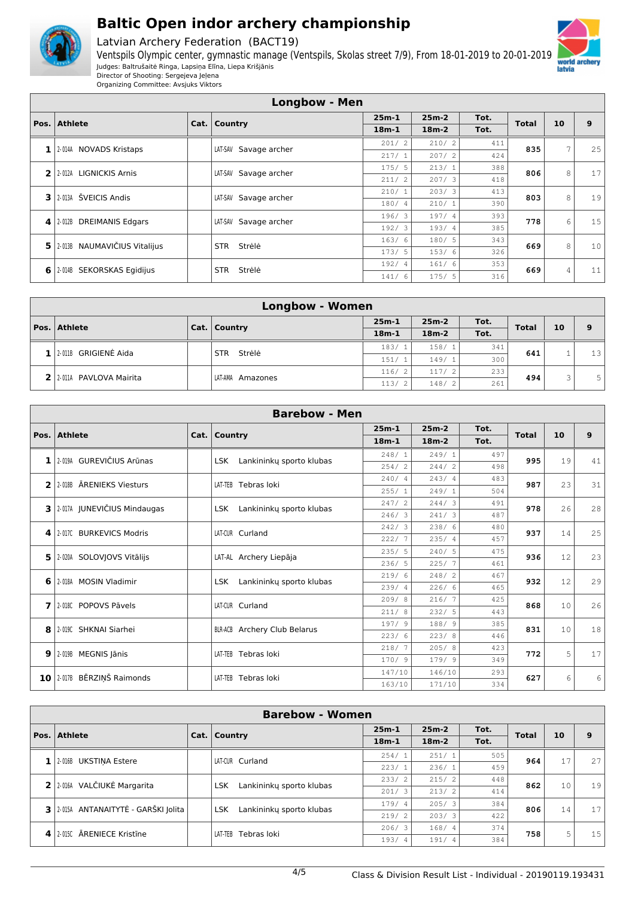

Latvian Archery Federation (BACT19)



Organizing Committee: Avsjuks Viktors

|                                                                 | <b>Longbow - Men</b>              |  |                          |         |         |      |              |    |    |
|-----------------------------------------------------------------|-----------------------------------|--|--------------------------|---------|---------|------|--------------|----|----|
| $25m-1$<br>$25m-2$<br>Tot.<br>Pos.   Athlete<br>Cat.<br>Country |                                   |  |                          |         |         |      |              |    | 9  |
|                                                                 |                                   |  |                          | $18m-1$ | $18m-2$ | Tot. | <b>Total</b> | 10 |    |
| 1                                                               | 2-014A NOVADS Kristaps            |  | LAT-SAV Savage archer    | 201/2   | 210/2   | 411  | 835          | 7  | 25 |
|                                                                 |                                   |  |                          | 217/1   | 207/2   | 424  |              |    |    |
| 2                                                               | <b>LIGNICKIS Arnis</b><br>2-012A  |  | Savage archer<br>LAT-SAV | 175/5   | 213/1   | 388  | 806          | 8  | 17 |
|                                                                 |                                   |  |                          | 211/2   | 207/3   | 418  |              |    |    |
| 3                                                               | 2-013A ŠVEICIS Andis              |  | Savage archer<br>LAT-SAV | 210/1   | 203/3   | 413  | 803          | 8  | 19 |
|                                                                 |                                   |  |                          | 180/4   | 210/1   | 390  |              |    |    |
| 4                                                               | <b>DREIMANIS Edgars</b><br>2-012B |  | LAT-SAV Savage archer    | 196/3   | 197/4   | 393  | 778          | 6  | 15 |
|                                                                 |                                   |  |                          | 192/3   | 193/4   | 385  |              |    |    |
|                                                                 | 5 2.013B NAUMAVIČIUS Vitalijus    |  | Strėlė<br><b>STR</b>     | 163/6   | 180/ 5  | 343  | 669          | 8  | 10 |
|                                                                 |                                   |  |                          | 173/5   | 153/6   | 326  |              |    |    |
| $6 \mid$                                                        | SEKORSKAS Egidijus<br>2-014B      |  | Strėlė<br><b>STR</b>     | 192/4   | 161/6   | 353  | 669          | 4  | 11 |
|                                                                 |                                   |  |                          | 141/6   | 175/5   | 316  |              |    |    |

|              | <b>Longbow - Women</b>     |  |                      |                        |         |      |              |    |    |  |
|--------------|----------------------------|--|----------------------|------------------------|---------|------|--------------|----|----|--|
| Pos. Athlete |                            |  | Cat.   Country       | $25m-1$                | $25m-2$ | Tot. | <b>Total</b> | 10 | 9  |  |
|              |                            |  |                      | $18m-1$                | $18m-2$ | Tot. |              |    |    |  |
|              | 1 2018 GRIGIENE Aida       |  | Strėlė<br><b>STR</b> | 183/1                  | 158/1   | 341  | 641          |    | 13 |  |
|              |                            |  |                      | 151/1                  | 149/1   | 300  |              |    |    |  |
|              | 2 2 2 0114 PAVLOVA Mairita |  | LAT-AMA<br>Amazones  | 116/2                  | 117/2   | 233  | 494          | 3  | 5  |  |
|              |                            |  |                      | 113/<br>$\overline{2}$ | 148/2   | 261  |              |    |    |  |

|   | <b>Barebow - Men</b>              |  |                                     |         |         |      |              |    |    |  |
|---|-----------------------------------|--|-------------------------------------|---------|---------|------|--------------|----|----|--|
|   | Pos. Athlete                      |  | Cat.   Country                      | $25m-1$ | $25m-2$ | Tot. | <b>Total</b> | 10 | 9  |  |
|   |                                   |  |                                     | $18m-1$ | $18m-2$ | Tot. |              |    |    |  |
| 1 | 2-019A GUREVIČIUS Arūnas          |  | Lankininky sporto klubas<br>LSK.    | 248/1   | 249/1   | 497  | 995          | 19 | 41 |  |
|   |                                   |  |                                     | 254/2   | 244/2   | 498  |              |    |    |  |
| 2 | 2-018B ARENIEKS Viesturs          |  | LAT-TEB Tebras loki                 | 240/4   | 243/4   | 483  | 987          | 23 | 31 |  |
|   |                                   |  |                                     | 255/1   | 249/1   | 504  |              |    |    |  |
| 3 | 2-017A JUNEVIČIUS Mindaugas       |  | Lankininky sporto klubas<br>LSK.    | 247/2   | 244/3   | 491  | 978          | 26 | 28 |  |
|   |                                   |  |                                     | 246/3   | 241/3   | 487  |              |    |    |  |
| 4 | 2-017C BURKEVICS Modris           |  | LAT-CUR Curland                     | 242/3   | 238/6   | 480  | 937          | 14 | 25 |  |
|   |                                   |  |                                     | 222/7   | 235/4   | 457  |              |    |    |  |
| 5 | 2-020A SOLOVJOVS Vitālijs         |  | LAT-AL Archery Liepāja              | 235/5   | 240/5   | 475  | 936          | 12 | 23 |  |
|   |                                   |  |                                     | 236/5   | 225/7   | 461  |              |    |    |  |
| 6 | 2-018A MOSIN Vladimir             |  | Lankininky sporto klubas<br>LSK.    | 219/6   | 248/2   | 467  | 932          | 12 | 29 |  |
|   |                                   |  |                                     | 239/4   | 226/6   | 465  |              |    |    |  |
| 7 | 2-018C POPOVS Pāvels              |  | LAT-CUR Curland                     | 209/8   | 216/7   | 425  | 868          | 10 | 26 |  |
|   |                                   |  |                                     | 211/8   | 232/5   | 443  |              |    |    |  |
| 8 | 2-019C SHKNAI Siarhei             |  | <b>BLR-ACB</b> Archery Club Belarus | 197/9   | 188/ 9  | 385  | 831          | 10 | 18 |  |
|   |                                   |  |                                     | 223/6   | 223/8   | 446  |              |    |    |  |
| 9 | 2-019B MEGNIS Jānis               |  | LAT-TEB Tebras loki                 | 218/7   | 205/8   | 423  | 772          | 5  | 17 |  |
|   |                                   |  |                                     | 170/9   | 179/9   | 349  |              |    |    |  |
|   | BĒRZIŅŠ Raimonds<br>$10$   2-017B |  | Tebras loki<br>LAT-TEB              | 147/10  | 146/10  | 293  | 627          | 6  | 6  |  |
|   |                                   |  |                                     | 163/10  | 171/10  | 334  |              |    |    |  |

| <b>Barebow - Women</b>              |  |                                        |                       |         |      |              |    |    |  |
|-------------------------------------|--|----------------------------------------|-----------------------|---------|------|--------------|----|----|--|
| Pos.   Athlete                      |  | Cat.   Country                         | $25m-1$               | $25m-2$ | Tot. | <b>Total</b> | 10 | 9  |  |
|                                     |  |                                        | $18m-1$               | $18m-2$ | Tot. |              |    |    |  |
| <b>UKSTINA Estere</b><br>2-016B     |  | LAT-CUR Curland                        | 254/1                 | 251/1   | 505  | 964          | 17 | 27 |  |
|                                     |  |                                        | 223/1                 | 236/1   | 459  |              |    |    |  |
| 2 2 2 016A VALČIUKĖ Margarita       |  | Lankininky sporto klubas<br><b>LSK</b> | 215/2<br>233/2<br>448 | 862     | 10   | 19           |    |    |  |
|                                     |  |                                        | 201/3                 | 213/2   | 414  |              |    |    |  |
| 3 2015A ANTANAITYTĖ - GARŠKI Jolita |  | Lankininky sporto klubas<br><b>LSK</b> | 179/4                 | 205/3   | 384  | 806          | 14 | 17 |  |
|                                     |  |                                        | 219/2                 | 203/3   | 422  |              |    |    |  |
|                                     |  | Tebras loki<br>LAT-TEB                 | 206/3                 | 168/4   | 374  | 758          | 5  | 15 |  |
| 2-015C ARENIECE Kristine            |  |                                        | 193/4                 | 191/4   | 384  |              |    |    |  |